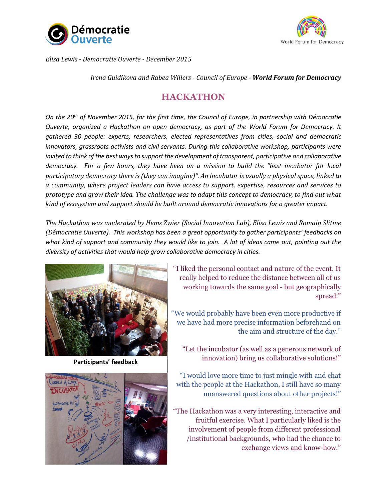



*Elisa Lewis - Democratie Ouverte - December 2015*

*Irena Guidikova and Rabea Willers - Council of Europe - World Forum for Democracy*

### **HACKATHON**

*On the 20th of November 2015, for the first time, the Council of Europe, in partnership with Démocratie Ouverte, organized a Hackathon on open democracy, as part of the World Forum for Democracy. It gathered 30 people: experts, researchers, elected representatives from cities, social and democratic innovators, grassroots activists and civil servants. During this collaborative workshop, participants were invited to think of the best ways to support the development of transparent, participative and collaborative democracy. For a few hours, they have been on a mission to build the "best incubator for local participatory democracy there is (they can imagine)". An incubator is usually a physical space, linked to a community, where project leaders can have access to support, expertise, resources and services to prototype and grow their idea. The challenge was to adapt this concept to democracy, to find out what kind of ecosystem and support should be built around democratic innovations for a greater impact.* 

*The Hackathon was moderated by Hems Zwier (Social Innovation Lab), Elisa Lewis and Romain Slitine (Démocratie Ouverte). This workshop has been a great opportunity to gather participants' feedbacks on what kind of support and community they would like to join. A lot of ideas came out, pointing out the diversity of activities that would help grow collaborative democracy in cities.*

> "I liked the personal contact and nature of the event. It really helped to reduce the distance between all of us working towards the same goal - but geographically spread."

> "We would probably have been even more productive if we have had more precise information beforehand on the aim and structure of the day."

"Let the incubator (as well as a generous network of innovation) bring us collaborative solutions!"

"I would love more time to just mingle with and chat with the people at the Hackathon, I still have so many unanswered questions about other projects!"

"The Hackathon was a very interesting, interactive and fruitful exercise. What I particularly liked is the involvement of people from different professional /institutional backgrounds, who had the chance to exchange views and know-how."



**Participants' feedback**

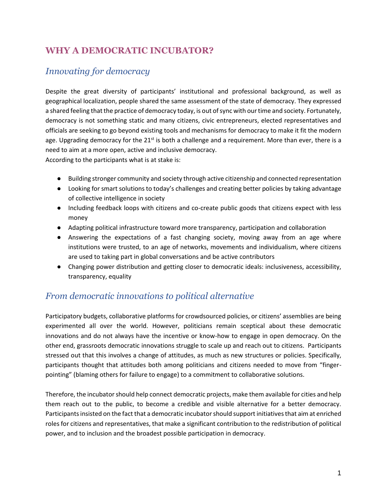## **WHY A DEMOCRATIC INCUBATOR?**

### *Innovating for democracy*

Despite the great diversity of participants' institutional and professional background, as well as geographical localization, people shared the same assessment of the state of democracy. They expressed a shared feeling that the practice of democracy today, is out of sync with our time and society. Fortunately, democracy is not something static and many citizens, civic entrepreneurs, elected representatives and officials are seeking to go beyond existing tools and mechanisms for democracy to make it fit the modern age. Upgrading democracy for the 21<sup>st</sup> is both a challenge and a requirement. More than ever, there is a need to aim at a more open, active and inclusive democracy.

According to the participants what is at stake is:

- Building stronger community and society through active citizenship and connected representation
- Looking for smart solutions to today's challenges and creating better policies by taking advantage of collective intelligence in society
- Including feedback loops with citizens and co-create public goods that citizens expect with less money
- Adapting political infrastructure toward more transparency, participation and collaboration
- Answering the expectations of a fast changing society, moving away from an age where institutions were trusted, to an age of networks, movements and individualism, where citizens are used to taking part in global conversations and be active contributors
- Changing power distribution and getting closer to democratic ideals: inclusiveness, accessibility, transparency, equality

### *From democratic innovations to political alternative*

Participatory budgets, collaborative platforms for crowdsourced policies, or citizens' assemblies are being experimented all over the world. However, politicians remain sceptical about these democratic innovations and do not always have the incentive or know-how to engage in open democracy. On the other end, grassroots democratic innovations struggle to scale up and reach out to citizens. Participants stressed out that this involves a change of attitudes, as much as new structures or policies. Specifically, participants thought that attitudes both among politicians and citizens needed to move from "fingerpointing" (blaming others for failure to engage) to a commitment to collaborative solutions.

Therefore, the incubator should help connect democratic projects, make them available for cities and help them reach out to the public, to become a credible and visible alternative for a better democracy. Participants insisted on the fact that a democratic incubator should support initiatives that aim at enriched roles for citizens and representatives, that make a significant contribution to the redistribution of political power, and to inclusion and the broadest possible participation in democracy.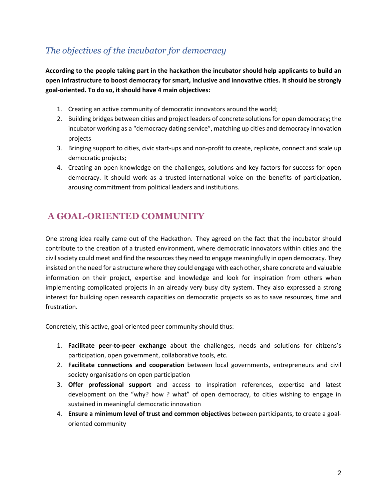### *The objectives of the incubator for democracy*

**According to the people taking part in the hackathon the incubator should help applicants to build an open infrastructure to boost democracy for smart, inclusive and innovative cities. It should be strongly goal-oriented. To do so, it should have 4 main objectives:** 

- 1. Creating an active community of democratic innovators around the world;
- 2. Building bridges between cities and project leaders of concrete solutions for open democracy; the incubator working as a "democracy dating service", matching up cities and democracy innovation projects
- 3. Bringing support to cities, civic start-ups and non-profit to create, replicate, connect and scale up democratic projects;
- 4. Creating an open knowledge on the challenges, solutions and key factors for success for open democracy. It should work as a trusted international voice on the benefits of participation, arousing commitment from political leaders and institutions.

## **A GOAL-ORIENTED COMMUNITY**

One strong idea really came out of the Hackathon. They agreed on the fact that the incubator should contribute to the creation of a trusted environment, where democratic innovators within cities and the civil society could meet and find the resources they need to engage meaningfully in open democracy. They insisted on the need for a structure where they could engage with each other, share concrete and valuable information on their project, expertise and knowledge and look for inspiration from others when implementing complicated projects in an already very busy city system. They also expressed a strong interest for building open research capacities on democratic projects so as to save resources, time and frustration.

Concretely, this active, goal-oriented peer community should thus:

- 1. **Facilitate peer-to-peer exchange** about the challenges, needs and solutions for citizens's participation, open government, collaborative tools, etc.
- 2. **Facilitate connections and cooperation** between local governments, entrepreneurs and civil society organisations on open participation
- 3. **Offer professional support** and access to inspiration references, expertise and latest development on the "why? how ? what" of open democracy, to cities wishing to engage in sustained in meaningful democratic innovation
- 4. **Ensure a minimum level of trust and common objectives** between participants, to create a goaloriented community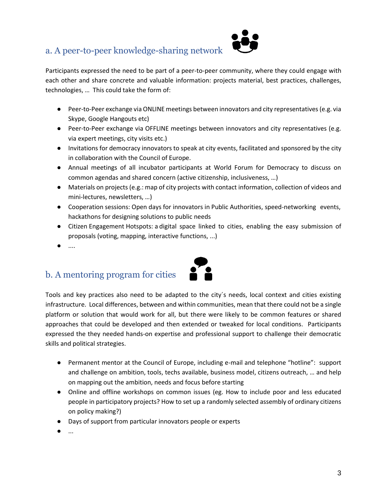### a. A peer-to-peer knowledge-sharing network



Participants expressed the need to be part of a peer-to-peer community, where they could engage with each other and share concrete and valuable information: projects material, best practices, challenges, technologies, … This could take the form of:

- Peer-to-Peer exchange via ONLINE meetings between innovators and city representatives (e.g. via Skype, Google Hangouts etc)
- Peer-to-Peer exchange via OFFLINE meetings between innovators and city representatives (e.g. via expert meetings, city visits etc.)
- Invitations for democracy innovators to speak at city events, facilitated and sponsored by the city in collaboration with the Council of Europe.
- Annual meetings of all incubator participants at World Forum for Democracy to discuss on common agendas and shared concern (active citizenship, inclusiveness, …)
- Materials on projects (e.g.: map of city projects with contact information, collection of videos and mini-lectures, newsletters, …)
- Cooperation sessions: Open days for innovators in Public Authorities, speed-networking events, hackathons for designing solutions to public needs
- Citizen Engagement Hotspots: a digital space linked to cities, enabling the easy submission of proposals (voting, mapping, interactive functions, ...)
- ....

## b. A mentoring program for cities



Tools and key practices also need to be adapted to the city´s needs, local context and cities existing infrastructure. Local differences, between and within communities, mean that there could not be a single platform or solution that would work for all, but there were likely to be common features or shared approaches that could be developed and then extended or tweaked for local conditions. Participants expressed the they needed hands-on expertise and professional support to challenge their democratic skills and political strategies.

- Permanent mentor at the Council of Europe, including e-mail and telephone "hotline": support and challenge on ambition, tools, techs available, business model, citizens outreach, … and help on mapping out the ambition, needs and focus before starting
- Online and offline workshops on common issues (eg. How to include poor and less educated people in participatory projects? How to set up a randomly selected assembly of ordinary citizens on policy making?)
- Days of support from particular innovators people or experts
- $\overline{\phantom{a}}$  ...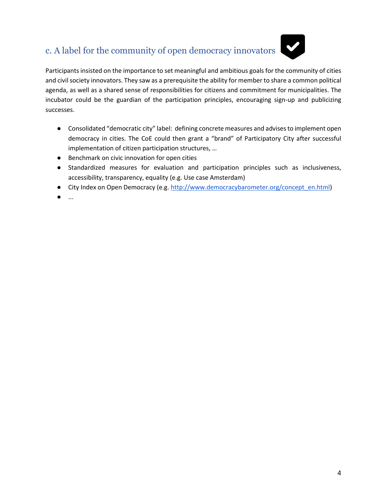# c. A label for the community of open democracy innovators



Participants insisted on the importance to set meaningful and ambitious goals for the community of cities and civil society innovators. They saw as a prerequisite the ability for member to share a common political agenda, as well as a shared sense of responsibilities for citizens and commitment for municipalities. The incubator could be the guardian of the participation principles, encouraging sign-up and publicizing successes.

- Consolidated "democratic city" label: defining concrete measures and advises to implement open democracy in cities. The CoE could then grant a "brand" of Participatory City after successful implementation of citizen participation structures, …
- Benchmark on civic innovation for open cities
- Standardized measures for evaluation and participation principles such as inclusiveness, accessibility, transparency, equality (e.g. Use case Amsterdam)
- City Index on Open Democracy (e.g. [http://www.democracybarometer.org/concept\\_en.html\)](http://www.democracybarometer.org/concept_en.html)
- ...